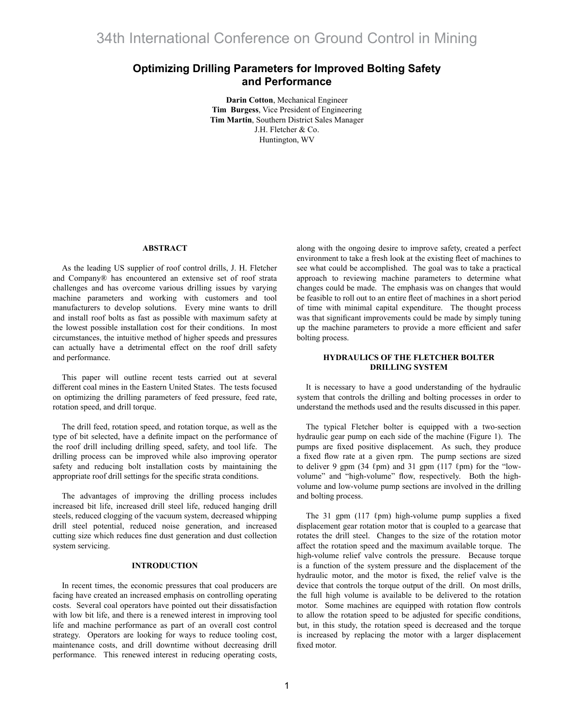## **Optimizing Drilling Parameters for Improved Bolting Safety and Performance**

**Darin Cotton**, Mechanical Engineer **Tim Burgess**, Vice President of Engineering **Tim Martin**, Southern District Sales Manager J.H. Fletcher & Co. Huntington, WV

#### **ABSTRACT**

As the leading US supplier of roof control drills, J. H. Fletcher and Company® has encountered an extensive set of roof strata challenges and has overcome various drilling issues by varying machine parameters and working with customers and tool manufacturers to develop solutions. Every mine wants to drill and install roof bolts as fast as possible with maximum safety at the lowest possible installation cost for their conditions. In most circumstances, the intuitive method of higher speeds and pressures can actually have a detrimental effect on the roof drill safety and performance.

This paper will outline recent tests carried out at several different coal mines in the Eastern United States. The tests focused on optimizing the drilling parameters of feed pressure, feed rate, rotation speed, and drill torque.

The drill feed, rotation speed, and rotation torque, as well as the type of bit selected, have a definite impact on the performance of the roof drill including drilling speed, safety, and tool life. The drilling process can be improved while also improving operator safety and reducing bolt installation costs by maintaining the appropriate roof drill settings for the specific strata conditions.

The advantages of improving the drilling process includes increased bit life, increased drill steel life, reduced hanging drill steels, reduced clogging of the vacuum system, decreased whipping drill steel potential, reduced noise generation, and increased cutting size which reduces fine dust generation and dust collection system servicing.

#### **INTRODUCTION**

In recent times, the economic pressures that coal producers are facing have created an increased emphasis on controlling operating costs. Several coal operators have pointed out their dissatisfaction with low bit life, and there is a renewed interest in improving tool life and machine performance as part of an overall cost control strategy. Operators are looking for ways to reduce tooling cost, maintenance costs, and drill downtime without decreasing drill performance. This renewed interest in reducing operating costs, along with the ongoing desire to improve safety, created a perfect environment to take a fresh look at the existing fleet of machines to see what could be accomplished. The goal was to take a practical approach to reviewing machine parameters to determine what changes could be made. The emphasis was on changes that would be feasible to roll out to an entire fleet of machines in a short period of time with minimal capital expenditure. The thought process was that significant improvements could be made by simply tuning up the machine parameters to provide a more efficient and safer bolting process.

## **HYDRAULICS OF THE FLETCHER BOLTER DRILLING SYSTEM**

It is necessary to have a good understanding of the hydraulic system that controls the drilling and bolting processes in order to understand the methods used and the results discussed in this paper.

The typical Fletcher bolter is equipped with a two-section hydraulic gear pump on each side of the machine (Figure 1). The pumps are fixed positive displacement. As such, they produce a fixed flow rate at a given rpm. The pump sections are sized to deliver 9 gpm  $(34 \text{ (pm)}$  and  $31 \text{ gpm}$   $(117 \text{ (pm)}$  for the "lowvolume" and "high-volume" flow, respectively. Both the highvolume and low-volume pump sections are involved in the drilling and bolting process.

The 31 gpm (117  $\ell$ pm) high-volume pump supplies a fixed displacement gear rotation motor that is coupled to a gearcase that rotates the drill steel. Changes to the size of the rotation motor affect the rotation speed and the maximum available torque. The high-volume relief valve controls the pressure. Because torque is a function of the system pressure and the displacement of the hydraulic motor, and the motor is fixed, the relief valve is the device that controls the torque output of the drill. On most drills, the full high volume is available to be delivered to the rotation motor. Some machines are equipped with rotation flow controls to allow the rotation speed to be adjusted for specific conditions, but, in this study, the rotation speed is decreased and the torque is increased by replacing the motor with a larger displacement fixed motor.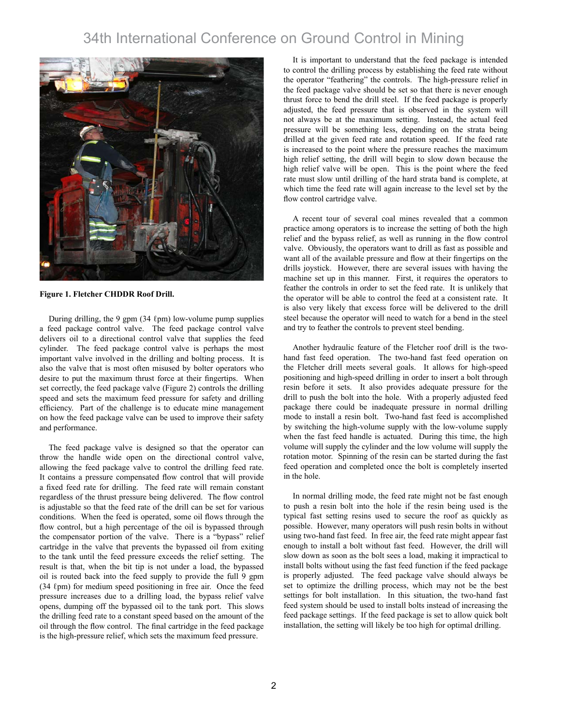

**Figure 1. Fletcher CHDDR Roof Drill.**

During drilling, the 9 gpm  $(34 \ell \text{pm})$  low-volume pump supplies a feed package control valve. The feed package control valve delivers oil to a directional control valve that supplies the feed cylinder. The feed package control valve is perhaps the most important valve involved in the drilling and bolting process. It is also the valve that is most often misused by bolter operators who desire to put the maximum thrust force at their fingertips. When set correctly, the feed package valve (Figure 2) controls the drilling speed and sets the maximum feed pressure for safety and drilling efficiency. Part of the challenge is to educate mine management on how the feed package valve can be used to improve their safety and performance.

The feed package valve is designed so that the operator can throw the handle wide open on the directional control valve, allowing the feed package valve to control the drilling feed rate. It contains a pressure compensated flow control that will provide a fixed feed rate for drilling. The feed rate will remain constant regardless of the thrust pressure being delivered. The flow control is adjustable so that the feed rate of the drill can be set for various conditions. When the feed is operated, some oil flows through the flow control, but a high percentage of the oil is bypassed through the compensator portion of the valve. There is a "bypass" relief cartridge in the valve that prevents the bypassed oil from exiting to the tank until the feed pressure exceeds the relief setting. The result is that, when the bit tip is not under a load, the bypassed oil is routed back into the feed supply to provide the full 9 gpm (34 ℓpm) for medium speed positioning in free air. Once the feed pressure increases due to a drilling load, the bypass relief valve opens, dumping off the bypassed oil to the tank port. This slows the drilling feed rate to a constant speed based on the amount of the oil through the flow control. The final cartridge in the feed package is the high-pressure relief, which sets the maximum feed pressure.

It is important to understand that the feed package is intended to control the drilling process by establishing the feed rate without the operator "feathering" the controls. The high-pressure relief in the feed package valve should be set so that there is never enough thrust force to bend the drill steel. If the feed package is properly adjusted, the feed pressure that is observed in the system will not always be at the maximum setting. Instead, the actual feed pressure will be something less, depending on the strata being drilled at the given feed rate and rotation speed. If the feed rate is increased to the point where the pressure reaches the maximum high relief setting, the drill will begin to slow down because the high relief valve will be open. This is the point where the feed rate must slow until drilling of the hard strata band is complete, at which time the feed rate will again increase to the level set by the flow control cartridge valve.

A recent tour of several coal mines revealed that a common practice among operators is to increase the setting of both the high relief and the bypass relief, as well as running in the flow control valve. Obviously, the operators want to drill as fast as possible and want all of the available pressure and flow at their fingertips on the drills joystick. However, there are several issues with having the machine set up in this manner. First, it requires the operators to feather the controls in order to set the feed rate. It is unlikely that the operator will be able to control the feed at a consistent rate. It is also very likely that excess force will be delivered to the drill steel because the operator will need to watch for a bend in the steel and try to feather the controls to prevent steel bending.

Another hydraulic feature of the Fletcher roof drill is the twohand fast feed operation. The two-hand fast feed operation on the Fletcher drill meets several goals. It allows for high-speed positioning and high-speed drilling in order to insert a bolt through resin before it sets. It also provides adequate pressure for the drill to push the bolt into the hole. With a properly adjusted feed package there could be inadequate pressure in normal drilling mode to install a resin bolt. Two-hand fast feed is accomplished by switching the high-volume supply with the low-volume supply when the fast feed handle is actuated. During this time, the high volume will supply the cylinder and the low volume will supply the rotation motor. Spinning of the resin can be started during the fast feed operation and completed once the bolt is completely inserted in the hole.

In normal drilling mode, the feed rate might not be fast enough to push a resin bolt into the hole if the resin being used is the typical fast setting resins used to secure the roof as quickly as possible. However, many operators will push resin bolts in without using two-hand fast feed. In free air, the feed rate might appear fast enough to install a bolt without fast feed. However, the drill will slow down as soon as the bolt sees a load, making it impractical to install bolts without using the fast feed function if the feed package is properly adjusted. The feed package valve should always be set to optimize the drilling process, which may not be the best settings for bolt installation. In this situation, the two-hand fast feed system should be used to install bolts instead of increasing the feed package settings. If the feed package is set to allow quick bolt installation, the setting will likely be too high for optimal drilling.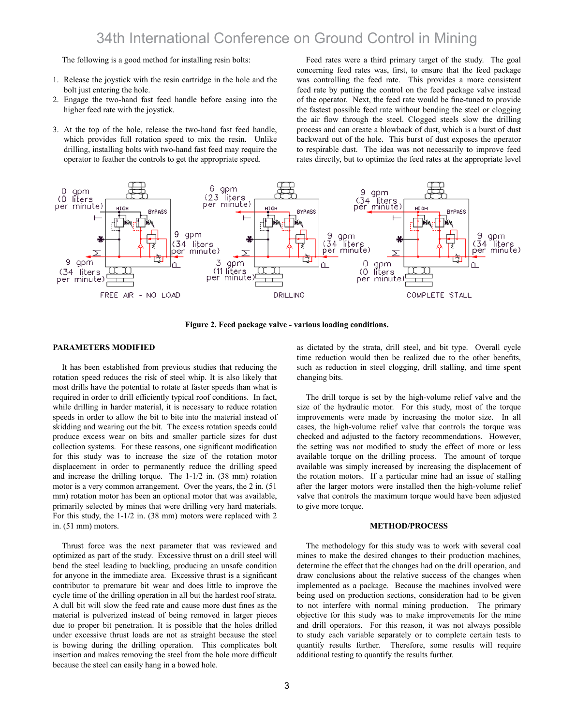The following is a good method for installing resin bolts:

- 1. Release the joystick with the resin cartridge in the hole and the bolt just entering the hole.
- 2. Engage the two-hand fast feed handle before easing into the higher feed rate with the joystick.
- 3. At the top of the hole, release the two-hand fast feed handle, which provides full rotation speed to mix the resin. Unlike drilling, installing bolts with two-hand fast feed may require the operator to feather the controls to get the appropriate speed.

Feed rates were a third primary target of the study. The goal concerning feed rates was, first, to ensure that the feed package was controlling the feed rate. This provides a more consistent feed rate by putting the control on the feed package valve instead of the operator. Next, the feed rate would be fine-tuned to provide the fastest possible feed rate without bending the steel or clogging the air flow through the steel. Clogged steels slow the drilling process and can create a blowback of dust, which is a burst of dust backward out of the hole. This burst of dust exposes the operator to respirable dust. The idea was not necessarily to improve feed rates directly, but to optimize the feed rates at the appropriate level



**Figure 2. Feed package valve - various loading conditions.**

#### **PARAMETERS MODIFIED**

It has been established from previous studies that reducing the rotation speed reduces the risk of steel whip. It is also likely that most drills have the potential to rotate at faster speeds than what is required in order to drill efficiently typical roof conditions. In fact, while drilling in harder material, it is necessary to reduce rotation speeds in order to allow the bit to bite into the material instead of skidding and wearing out the bit. The excess rotation speeds could produce excess wear on bits and smaller particle sizes for dust collection systems. For these reasons, one significant modification for this study was to increase the size of the rotation motor displacement in order to permanently reduce the drilling speed and increase the drilling torque. The 1-1/2 in. (38 mm) rotation motor is a very common arrangement. Over the years, the 2 in. (51 mm) rotation motor has been an optional motor that was available, primarily selected by mines that were drilling very hard materials. For this study, the 1-1/2 in. (38 mm) motors were replaced with 2 in. (51 mm) motors.

Thrust force was the next parameter that was reviewed and optimized as part of the study. Excessive thrust on a drill steel will bend the steel leading to buckling, producing an unsafe condition for anyone in the immediate area. Excessive thrust is a significant contributor to premature bit wear and does little to improve the cycle time of the drilling operation in all but the hardest roof strata. A dull bit will slow the feed rate and cause more dust fines as the material is pulverized instead of being removed in larger pieces due to proper bit penetration. It is possible that the holes drilled under excessive thrust loads are not as straight because the steel is bowing during the drilling operation. This complicates bolt insertion and makes removing the steel from the hole more difficult because the steel can easily hang in a bowed hole.

as dictated by the strata, drill steel, and bit type. Overall cycle time reduction would then be realized due to the other benefits, such as reduction in steel clogging, drill stalling, and time spent changing bits.

The drill torque is set by the high-volume relief valve and the size of the hydraulic motor. For this study, most of the torque improvements were made by increasing the motor size. In all cases, the high-volume relief valve that controls the torque was checked and adjusted to the factory recommendations. However, the setting was not modified to study the effect of more or less available torque on the drilling process. The amount of torque available was simply increased by increasing the displacement of the rotation motors. If a particular mine had an issue of stalling after the larger motors were installed then the high-volume relief valve that controls the maximum torque would have been adjusted to give more torque.

### **METHOD/PROCESS**

The methodology for this study was to work with several coal mines to make the desired changes to their production machines, determine the effect that the changes had on the drill operation, and draw conclusions about the relative success of the changes when implemented as a package. Because the machines involved were being used on production sections, consideration had to be given to not interfere with normal mining production. The primary objective for this study was to make improvements for the mine and drill operators. For this reason, it was not always possible to study each variable separately or to complete certain tests to quantify results further. Therefore, some results will require additional testing to quantify the results further.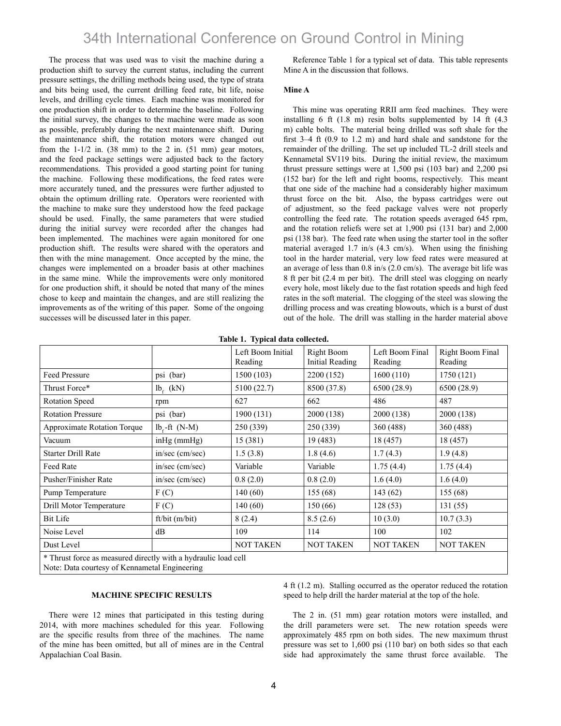The process that was used was to visit the machine during a production shift to survey the current status, including the current pressure settings, the drilling methods being used, the type of strata and bits being used, the current drilling feed rate, bit life, noise levels, and drilling cycle times. Each machine was monitored for one production shift in order to determine the baseline. Following the initial survey, the changes to the machine were made as soon as possible, preferably during the next maintenance shift. During the maintenance shift, the rotation motors were changed out from the  $1-1/2$  in. (38 mm) to the 2 in. (51 mm) gear motors, and the feed package settings were adjusted back to the factory recommendations. This provided a good starting point for tuning the machine. Following these modifications, the feed rates were more accurately tuned, and the pressures were further adjusted to obtain the optimum drilling rate. Operators were reoriented with the machine to make sure they understood how the feed package should be used. Finally, the same parameters that were studied during the initial survey were recorded after the changes had been implemented. The machines were again monitored for one production shift. The results were shared with the operators and then with the mine management. Once accepted by the mine, the changes were implemented on a broader basis at other machines in the same mine. While the improvements were only monitored for one production shift, it should be noted that many of the mines chose to keep and maintain the changes, and are still realizing the improvements as of the writing of this paper. Some of the ongoing successes will be discussed later in this paper.

Reference Table 1 for a typical set of data. This table represents Mine A in the discussion that follows.

### **Mine A**

This mine was operating RRII arm feed machines. They were installing 6 ft (1.8 m) resin bolts supplemented by 14 ft (4.3 m) cable bolts. The material being drilled was soft shale for the first 3–4 ft (0.9 to 1.2 m) and hard shale and sandstone for the remainder of the drilling. The set up included TL-2 drill steels and Kennametal SV119 bits. During the initial review, the maximum thrust pressure settings were at 1,500 psi (103 bar) and 2,200 psi (152 bar) for the left and right booms, respectively. This meant that one side of the machine had a considerably higher maximum thrust force on the bit. Also, the bypass cartridges were out of adjustment, so the feed package valves were not properly controlling the feed rate. The rotation speeds averaged 645 rpm, and the rotation reliefs were set at 1,900 psi (131 bar) and 2,000 psi (138 bar). The feed rate when using the starter tool in the softer material averaged 1.7 in/s (4.3 cm/s). When using the finishing tool in the harder material, very low feed rates were measured at an average of less than 0.8 in/s (2.0 cm/s). The average bit life was 8 ft per bit (2.4 m per bit). The drill steel was clogging on nearly every hole, most likely due to the fast rotation speeds and high feed rates in the soft material. The clogging of the steel was slowing the drilling process and was creating blowouts, which is a burst of dust out of the hole. The drill was stalling in the harder material above

|                                                                |                   | Left Boom Initial<br>Reading | Right Boom<br>Initial Reading | Left Boom Final<br>Reading | Right Boom Final<br>Reading |  |
|----------------------------------------------------------------|-------------------|------------------------------|-------------------------------|----------------------------|-----------------------------|--|
| <b>Feed Pressure</b>                                           | psi (bar)         | 1500(103)                    | 2200 (152)                    | 1600(110)                  | 1750 (121)                  |  |
| Thrust Force*                                                  | $lbf$ (kN)        | 5100 (22.7)                  | 8500 (37.8)                   | 6500 (28.9)                | 6500 (28.9)                 |  |
| <b>Rotation Speed</b>                                          | rpm               | 627                          | 662                           | 486                        | 487                         |  |
| <b>Rotation Pressure</b>                                       | psi (bar)         | 1900 (131)                   | 2000 (138)                    | 2000 (138)                 | 2000 (138)                  |  |
| <b>Approximate Rotation Torque</b>                             | $lbr$ -ft (N-M)   | 250 (339)                    | 250 (339)                     | 360 (488)                  | 360 (488)                   |  |
| Vacuum                                                         | $inHg$ (mmHg)     | 15 (381)                     | 19(483)                       | 18 (457)                   | 18 (457)                    |  |
| <b>Starter Drill Rate</b>                                      | in/sec (cm/sec)   | 1.5(3.8)                     | 1.8(4.6)                      | 1.7(4.3)                   | 1.9(4.8)                    |  |
| Feed Rate                                                      | $in/sec$ (cm/sec) | Variable                     | Variable                      | 1.75(4.4)                  | 1.75(4.4)                   |  |
| Pusher/Finisher Rate                                           | $in/sec$ (cm/sec) | 0.8(2.0)                     | 0.8(2.0)                      | 1.6(4.0)                   | 1.6(4.0)                    |  |
| Pump Temperature                                               | F(C)              | 140(60)                      | 155 (68)                      | 143(62)                    | 155 (68)                    |  |
| Drill Motor Temperature                                        | F(C)              | 140(60)                      | 150(66)                       | 128(53)                    | 131(55)                     |  |
| <b>Bit Life</b>                                                | $ft/bit$ (m/bit)  | 8(2.4)                       | 8.5(2.6)                      | 10(3.0)                    | 10.7(3.3)                   |  |
| Noise Level                                                    | dB                | 109                          | 114                           | 100                        | 102                         |  |
| Dust Level                                                     |                   | <b>NOT TAKEN</b>             | <b>NOT TAKEN</b>              | <b>NOT TAKEN</b>           | <b>NOT TAKEN</b>            |  |
| * Thrust force as measured directly with a hydraulic load cell |                   |                              |                               |                            |                             |  |

|  |  |  | Table 1. Typical data collected. |
|--|--|--|----------------------------------|
|--|--|--|----------------------------------|

Note: Data courtesy of Kennametal Engineering

### **MACHINE SPECIFIC RESULTS**

There were 12 mines that participated in this testing during 2014, with more machines scheduled for this year. Following are the specific results from three of the machines. The name of the mine has been omitted, but all of mines are in the Central Appalachian Coal Basin.

4 ft (1.2 m). Stalling occurred as the operator reduced the rotation speed to help drill the harder material at the top of the hole.

The 2 in. (51 mm) gear rotation motors were installed, and the drill parameters were set. The new rotation speeds were approximately 485 rpm on both sides. The new maximum thrust pressure was set to 1,600 psi (110 bar) on both sides so that each side had approximately the same thrust force available. The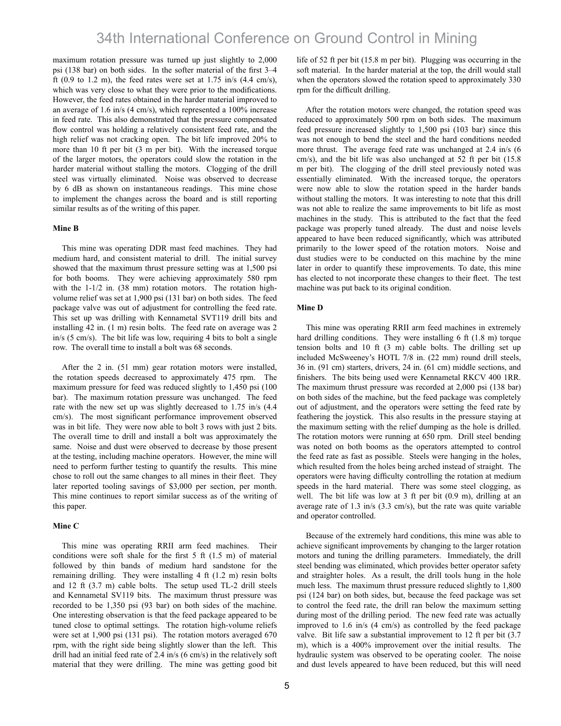maximum rotation pressure was turned up just slightly to 2,000 psi (138 bar) on both sides. In the softer material of the first 3–4 ft  $(0.9 \text{ to } 1.2 \text{ m})$ , the feed rates were set at  $1.75 \text{ in/s } (4.4 \text{ cm/s})$ , which was very close to what they were prior to the modifications. However, the feed rates obtained in the harder material improved to an average of 1.6 in/s (4 cm/s), which represented a 100% increase in feed rate. This also demonstrated that the pressure compensated flow control was holding a relatively consistent feed rate, and the high relief was not cracking open. The bit life improved 20% to more than 10 ft per bit (3 m per bit). With the increased torque of the larger motors, the operators could slow the rotation in the harder material without stalling the motors. Clogging of the drill steel was virtually eliminated. Noise was observed to decrease by 6 dB as shown on instantaneous readings. This mine chose to implement the changes across the board and is still reporting similar results as of the writing of this paper.

#### **Mine B**

This mine was operating DDR mast feed machines. They had medium hard, and consistent material to drill. The initial survey showed that the maximum thrust pressure setting was at 1,500 psi for both booms. They were achieving approximately 580 rpm with the 1-1/2 in. (38 mm) rotation motors. The rotation highvolume relief was set at 1,900 psi (131 bar) on both sides. The feed package valve was out of adjustment for controlling the feed rate. This set up was drilling with Kennametal SVT119 drill bits and installing 42 in. (1 m) resin bolts. The feed rate on average was 2 in/s (5 cm/s). The bit life was low, requiring 4 bits to bolt a single row. The overall time to install a bolt was 68 seconds.

After the 2 in. (51 mm) gear rotation motors were installed, the rotation speeds decreased to approximately 475 rpm. The maximum pressure for feed was reduced slightly to 1,450 psi (100 bar). The maximum rotation pressure was unchanged. The feed rate with the new set up was slightly decreased to 1.75 in/s (4.4 cm/s). The most significant performance improvement observed was in bit life. They were now able to bolt 3 rows with just 2 bits. The overall time to drill and install a bolt was approximately the same. Noise and dust were observed to decrease by those present at the testing, including machine operators. However, the mine will need to perform further testing to quantify the results. This mine chose to roll out the same changes to all mines in their fleet. They later reported tooling savings of \$3,000 per section, per month. This mine continues to report similar success as of the writing of this paper.

#### **Mine C**

This mine was operating RRII arm feed machines. Their conditions were soft shale for the first 5 ft (1.5 m) of material followed by thin bands of medium hard sandstone for the remaining drilling. They were installing 4 ft (1.2 m) resin bolts and 12 ft (3.7 m) cable bolts. The setup used TL-2 drill steels and Kennametal SV119 bits. The maximum thrust pressure was recorded to be 1,350 psi (93 bar) on both sides of the machine. One interesting observation is that the feed package appeared to be tuned close to optimal settings. The rotation high-volume reliefs were set at 1,900 psi (131 psi). The rotation motors averaged 670 rpm, with the right side being slightly slower than the left. This drill had an initial feed rate of 2.4 in/s (6 cm/s) in the relatively soft material that they were drilling. The mine was getting good bit

life of 52 ft per bit (15.8 m per bit). Plugging was occurring in the soft material. In the harder material at the top, the drill would stall when the operators slowed the rotation speed to approximately 330 rpm for the difficult drilling.

After the rotation motors were changed, the rotation speed was reduced to approximately 500 rpm on both sides. The maximum feed pressure increased slightly to 1,500 psi (103 bar) since this was not enough to bend the steel and the hard conditions needed more thrust. The average feed rate was unchanged at 2.4 in/s (6 cm/s), and the bit life was also unchanged at 52 ft per bit (15.8 m per bit). The clogging of the drill steel previously noted was essentially eliminated. With the increased torque, the operators were now able to slow the rotation speed in the harder bands without stalling the motors. It was interesting to note that this drill was not able to realize the same improvements to bit life as most machines in the study. This is attributed to the fact that the feed package was properly tuned already. The dust and noise levels appeared to have been reduced significantly, which was attributed primarily to the lower speed of the rotation motors. Noise and dust studies were to be conducted on this machine by the mine later in order to quantify these improvements. To date, this mine has elected to not incorporate these changes to their fleet. The test machine was put back to its original condition.

#### **Mine D**

This mine was operating RRII arm feed machines in extremely hard drilling conditions. They were installing 6 ft (1.8 m) torque tension bolts and 10 ft (3 m) cable bolts. The drilling set up included McSweeney's HOTL 7/8 in. (22 mm) round drill steels, 36 in. (91 cm) starters, drivers, 24 in. (61 cm) middle sections, and finishers. The bits being used were Kennametal RKCV 400 1RR. The maximum thrust pressure was recorded at 2,000 psi (138 bar) on both sides of the machine, but the feed package was completely out of adjustment, and the operators were setting the feed rate by feathering the joystick. This also results in the pressure staying at the maximum setting with the relief dumping as the hole is drilled. The rotation motors were running at 650 rpm. Drill steel bending was noted on both booms as the operators attempted to control the feed rate as fast as possible. Steels were hanging in the holes, which resulted from the holes being arched instead of straight. The operators were having difficulty controlling the rotation at medium speeds in the hard material. There was some steel clogging, as well. The bit life was low at 3 ft per bit (0.9 m), drilling at an average rate of 1.3 in/s (3.3 cm/s), but the rate was quite variable and operator controlled.

Because of the extremely hard conditions, this mine was able to achieve significant improvements by changing to the larger rotation motors and tuning the drilling parameters. Immediately, the drill steel bending was eliminated, which provides better operator safety and straighter holes. As a result, the drill tools hung in the hole much less. The maximum thrust pressure reduced slightly to 1,800 psi (124 bar) on both sides, but, because the feed package was set to control the feed rate, the drill ran below the maximum setting during most of the drilling period. The new feed rate was actually improved to 1.6 in/s (4 cm/s) as controlled by the feed package valve. Bit life saw a substantial improvement to 12 ft per bit (3.7 m), which is a 400% improvement over the initial results. The hydraulic system was observed to be operating cooler. The noise and dust levels appeared to have been reduced, but this will need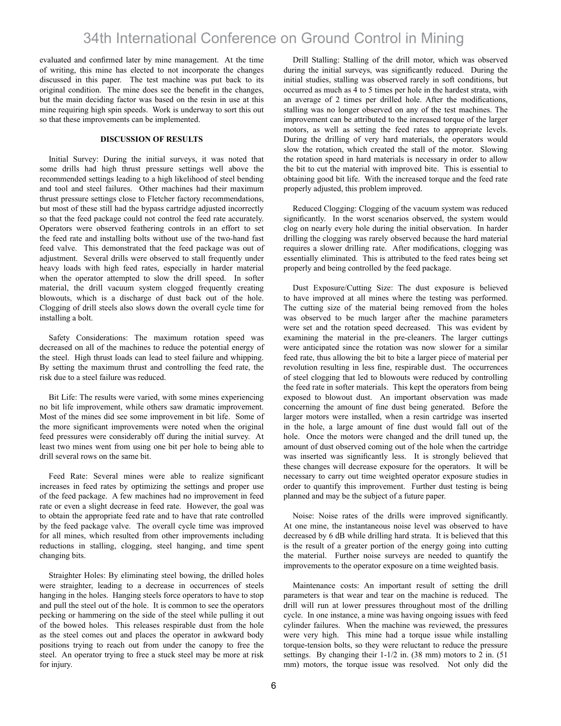evaluated and confirmed later by mine management. At the time of writing, this mine has elected to not incorporate the changes discussed in this paper. The test machine was put back to its original condition. The mine does see the benefit in the changes, but the main deciding factor was based on the resin in use at this mine requiring high spin speeds. Work is underway to sort this out so that these improvements can be implemented.

### **DISCUSSION OF RESULTS**

Initial Survey: During the initial surveys, it was noted that some drills had high thrust pressure settings well above the recommended settings leading to a high likelihood of steel bending and tool and steel failures. Other machines had their maximum thrust pressure settings close to Fletcher factory recommendations, but most of these still had the bypass cartridge adjusted incorrectly so that the feed package could not control the feed rate accurately. Operators were observed feathering controls in an effort to set the feed rate and installing bolts without use of the two-hand fast feed valve. This demonstrated that the feed package was out of adjustment. Several drills were observed to stall frequently under heavy loads with high feed rates, especially in harder material when the operator attempted to slow the drill speed. In softer material, the drill vacuum system clogged frequently creating blowouts, which is a discharge of dust back out of the hole. Clogging of drill steels also slows down the overall cycle time for installing a bolt.

Safety Considerations: The maximum rotation speed was decreased on all of the machines to reduce the potential energy of the steel. High thrust loads can lead to steel failure and whipping. By setting the maximum thrust and controlling the feed rate, the risk due to a steel failure was reduced.

Bit Life: The results were varied, with some mines experiencing no bit life improvement, while others saw dramatic improvement. Most of the mines did see some improvement in bit life. Some of the more significant improvements were noted when the original feed pressures were considerably off during the initial survey. At least two mines went from using one bit per hole to being able to drill several rows on the same bit.

Feed Rate: Several mines were able to realize significant increases in feed rates by optimizing the settings and proper use of the feed package. A few machines had no improvement in feed rate or even a slight decrease in feed rate. However, the goal was to obtain the appropriate feed rate and to have that rate controlled by the feed package valve. The overall cycle time was improved for all mines, which resulted from other improvements including reductions in stalling, clogging, steel hanging, and time spent changing bits.

Straighter Holes: By eliminating steel bowing, the drilled holes were straighter, leading to a decrease in occurrences of steels hanging in the holes. Hanging steels force operators to have to stop and pull the steel out of the hole. It is common to see the operators pecking or hammering on the side of the steel while pulling it out of the bowed holes. This releases respirable dust from the hole as the steel comes out and places the operator in awkward body positions trying to reach out from under the canopy to free the steel. An operator trying to free a stuck steel may be more at risk for injury.

Drill Stalling: Stalling of the drill motor, which was observed during the initial surveys, was significantly reduced. During the initial studies, stalling was observed rarely in soft conditions, but occurred as much as 4 to 5 times per hole in the hardest strata, with an average of 2 times per drilled hole. After the modifications, stalling was no longer observed on any of the test machines. The improvement can be attributed to the increased torque of the larger motors, as well as setting the feed rates to appropriate levels. During the drilling of very hard materials, the operators would slow the rotation, which created the stall of the motor. Slowing the rotation speed in hard materials is necessary in order to allow the bit to cut the material with improved bite. This is essential to obtaining good bit life. With the increased torque and the feed rate properly adjusted, this problem improved.

Reduced Clogging: Clogging of the vacuum system was reduced significantly. In the worst scenarios observed, the system would clog on nearly every hole during the initial observation. In harder drilling the clogging was rarely observed because the hard material requires a slower drilling rate. After modifications, clogging was essentially eliminated. This is attributed to the feed rates being set properly and being controlled by the feed package.

Dust Exposure/Cutting Size: The dust exposure is believed to have improved at all mines where the testing was performed. The cutting size of the material being removed from the holes was observed to be much larger after the machine parameters were set and the rotation speed decreased. This was evident by examining the material in the pre-cleaners. The larger cuttings were anticipated since the rotation was now slower for a similar feed rate, thus allowing the bit to bite a larger piece of material per revolution resulting in less fine, respirable dust. The occurrences of steel clogging that led to blowouts were reduced by controlling the feed rate in softer materials. This kept the operators from being exposed to blowout dust. An important observation was made concerning the amount of fine dust being generated. Before the larger motors were installed, when a resin cartridge was inserted in the hole, a large amount of fine dust would fall out of the hole. Once the motors were changed and the drill tuned up, the amount of dust observed coming out of the hole when the cartridge was inserted was significantly less. It is strongly believed that these changes will decrease exposure for the operators. It will be necessary to carry out time weighted operator exposure studies in order to quantify this improvement. Further dust testing is being planned and may be the subject of a future paper.

Noise: Noise rates of the drills were improved significantly. At one mine, the instantaneous noise level was observed to have decreased by 6 dB while drilling hard strata. It is believed that this is the result of a greater portion of the energy going into cutting the material. Further noise surveys are needed to quantify the improvements to the operator exposure on a time weighted basis.

Maintenance costs: An important result of setting the drill parameters is that wear and tear on the machine is reduced. The drill will run at lower pressures throughout most of the drilling cycle. In one instance, a mine was having ongoing issues with feed cylinder failures. When the machine was reviewed, the pressures were very high. This mine had a torque issue while installing torque-tension bolts, so they were reluctant to reduce the pressure settings. By changing their 1-1/2 in. (38 mm) motors to 2 in. (51 mm) motors, the torque issue was resolved. Not only did the